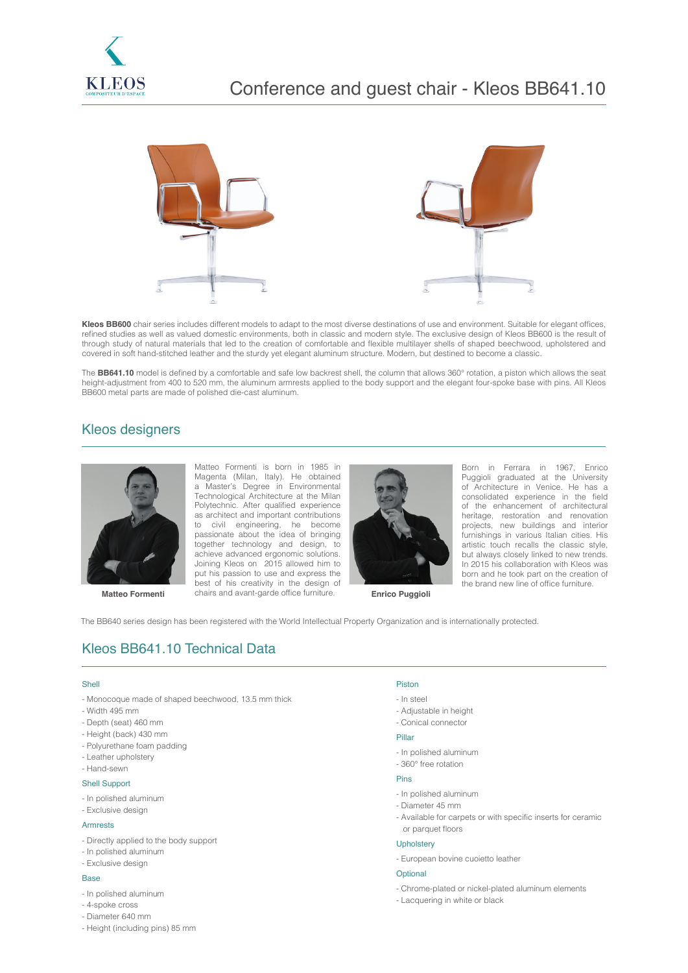



**Kleos BB600** chair series includes different models to adapt to the most diverse destinations of use and environment. Suitable for elegant offices, refined studies as well as valued domestic environments, both in classic and modern style. The exclusive design of Kleos BB600 is the result of through study of natural materials that led to the creation of comfortable and flexible multilayer shells of shaped beechwood, upholstered and covered in soft hand-stitched leather and the sturdy yet elegant aluminum structure. Modern, but destined to become a classic.

The **BB641.10** model is defined by a comfortable and safe low backrest shell, the column that allows 360° rotation, a piston which allows the seat height-adjustment from 400 to 520 mm, the aluminum armrests applied to the body support and the elegant four-spoke base with pins. All Kleos BB600 metal parts are made of polished die-cast aluminum.

# Kleos designers



**Matteo Formenti Enrico Puggioli** chairs and avant-garde office furniture. **Enrico Puggioli** Matteo Formenti is born in 1985 in Magenta (Milan, Italy). He obtained a Master's Degree in Environmental Technological Architecture at the Milan Polytechnic. After qualified experience as architect and important contributions to civil engineering, he become passionate about the idea of bringing together technology and design, to achieve advanced ergonomic solutions. Joining Kleos on 2015 allowed him to put his passion to use and express the best of his creativity in the design of



Born in Ferrara in 1967, Enrico Puggioli graduated at the University of Architecture in Venice. He has a consolidated experience in the field of the enhancement of architectural heritage, restoration and renovation projects, new buildings and interior furnishings in various Italian cities. His artistic touch recalls the classic style, but always closely linked to new trends. In 2015 his collaboration with Kleos was born and he took part on the creation of the brand new line of office furniture.

The BB640 series design has been registered with the World Intellectual Property Organization and is internationally protected.

# Kleos BB641.10 Technical Data

#### Shell

- Monocoque made of shaped beechwood, 13.5 mm thick
- Width 495 mm
- Depth (seat) 460 mm
- Height (back) 430 mm
- Polyurethane foam padding
- Leather upholstery
- Hand-sewn

#### Shell Support

- In polished aluminum
- Exclusive design

#### Armrests

- Directly applied to the body support
- In polished aluminum
- Exclusive design

### Base

- In polished aluminum
- 4-spoke cross
- Diameter 640 mm
- Height (including pins) 85 mm

## Piston

- In steel
- Adjustable in height
- Conical connector

### Pillar

- In polished aluminum
- 360° free rotation

### Pins

- In polished aluminum
- Diameter 45 mm
- Available for carpets or with specific inserts for ceramic or parquet floors

### **Upholstery**

- European bovine cuoietto leather

#### Optional

- Chrome-plated or nickel-plated aluminum elements
- Lacquering in white or black